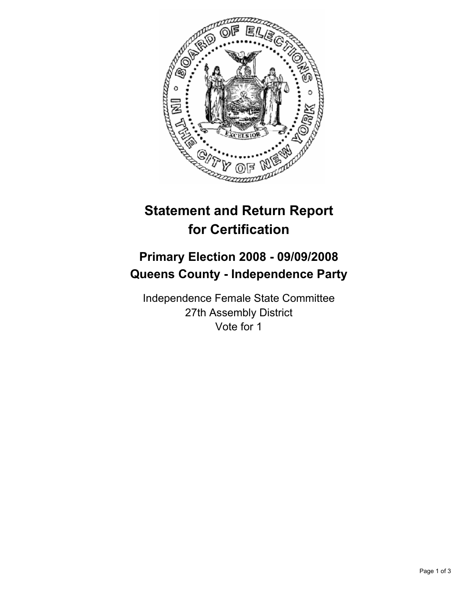

# **Statement and Return Report for Certification**

## **Primary Election 2008 - 09/09/2008 Queens County - Independence Party**

Independence Female State Committee 27th Assembly District Vote for 1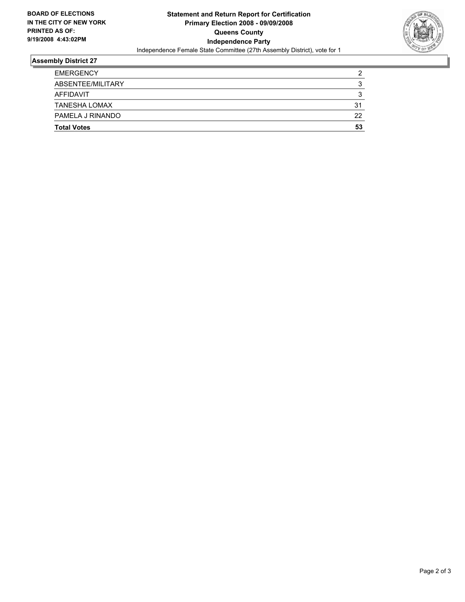

### **Assembly District 27**

| <b>EMERGENCY</b>     | ◠  |
|----------------------|----|
| ABSENTEE/MILITARY    |    |
| AFFIDAVIT            |    |
| <b>TANESHA LOMAX</b> | 31 |
| PAMELA J RINANDO     | 22 |
| <b>Total Votes</b>   | 53 |